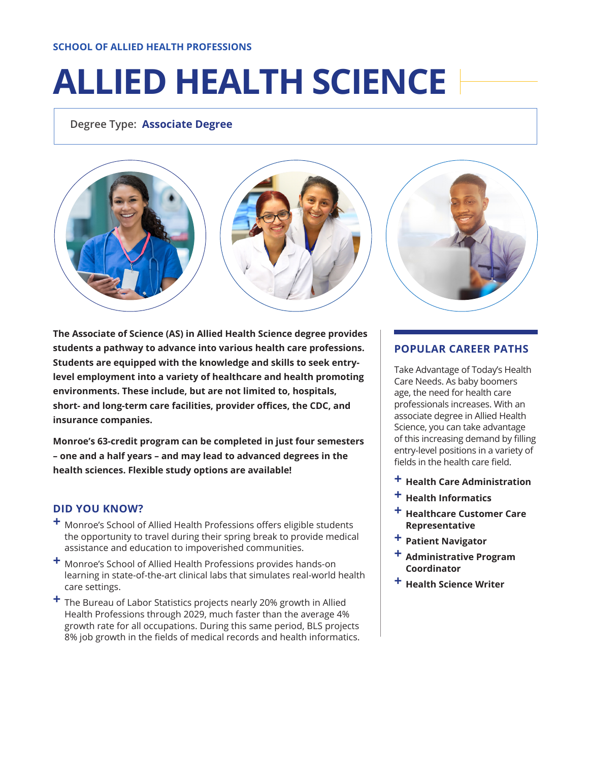#### **SCHOOL OF ALLIED HEALTH PROFESSIONS**

# **ALLIED HEALTH SCIENCE**

**Degree Type: Associate Degree**



**The Associate of Science (AS) in Allied Health Science degree provides students a pathway to advance into various health care professions. Students are equipped with the knowledge and skills to seek entrylevel employment into a variety of healthcare and health promoting environments. These include, but are not limited to, hospitals, short- and long-term care facilities, provider offices, the CDC, and insurance companies.**

**Monroe's 63-credit program can be completed in just four semesters – one and a half years – and may lead to advanced degrees in the health sciences. Flexible study options are available!**

# **DID YOU KNOW?**

- **+** Monroe's School of Allied Health Professions offers eligible students the opportunity to travel during their spring break to provide medical assistance and education to impoverished communities.
- **+** Monroe's School of Allied Health Professions provides hands-on learning in state-of-the-art clinical labs that simulates real-world health care settings.
- **+** The Bureau of Labor Statistics projects nearly 20% growth in Allied Health Professions through 2029, much faster than the average 4% growth rate for all occupations. During this same period, BLS projects 8% job growth in the fields of medical records and health informatics.

### **POPULAR CAREER PATHS**

Take Advantage of Today's Health Care Needs. As baby boomers age, the need for health care professionals increases. With an associate degree in Allied Health Science, you can take advantage of this increasing demand by filling entry-level positions in a variety of fields in the health care field.

- **+ Health Care Administration**
- **+ Health Informatics**
- **+ Healthcare Customer Care Representative**
- **+ Patient Navigator**
- **+ Administrative Program Coordinator**
- **+ Health Science Writer**